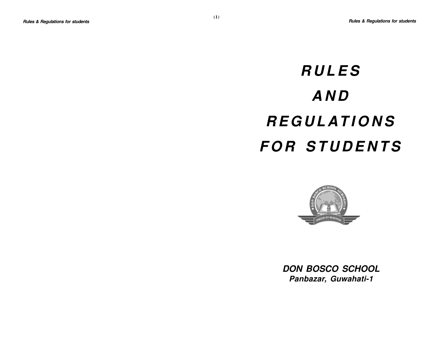# **RULES AND REGULATIONS FOR STUDENTS**



**DON BOSCO SCHOOL Panbazar, Guwahati-1**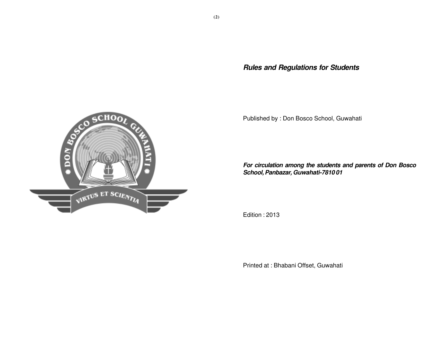**Rules and Regulations for Students**

Published by : Don Bosco School, Guwahati

**For circulation among the students and parents of Don Bosco School, Panbazar, Guwahati-7810 01**

Edition : 2013

Printed at : Bhabani Offset, Guwahati

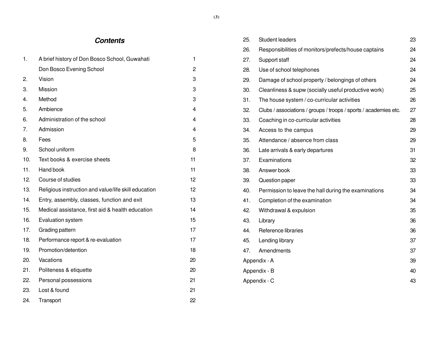# **Contents**

| 1.  | A brief history of Don Bosco School, Guwahati        | $\mathbf 1$    |
|-----|------------------------------------------------------|----------------|
|     | Don Bosco Evening School                             | $\overline{c}$ |
| 2.  | Vision                                               | 3              |
| 3.  | Mission                                              | 3              |
| 4.  | Method                                               | 3              |
| 5.  | Ambience                                             | $\overline{4}$ |
| 6.  | Administration of the school                         | 4              |
| 7.  | Admission                                            | 4              |
| 8.  | Fees                                                 | 5              |
| 9.  | School uniform                                       | 8              |
| 10. | Text books & exercise sheets                         | 11             |
| 11. | Hand book                                            | 11             |
| 12. | Course of studies                                    | 12             |
| 13. | Religious instruction and value/life skill education | 12             |
| 14. | Entry, assembly, classes, function and exit          | 13             |
| 15. | Medical assistance, first aid & health education     | 14             |
| 16. | Evaluation system                                    | 15             |
| 17. | Grading pattern                                      | 17             |
| 18. | Performance report & re-evaluation                   | 17             |
| 19. | Promotion/detention                                  | 18             |
| 20. | Vacations                                            | 20             |
| 21. | Politeness & etiquette                               | 20             |
| 22. | Personal possessions                                 | 21             |
| 23. | Lost & found                                         | 21             |
| 24. | Transport                                            | 22             |

| 25.                | <b>Student leaders</b>                                           | 23 |  |  |  |
|--------------------|------------------------------------------------------------------|----|--|--|--|
| 26.                | Responsibilities of monitors/prefects/house captains             | 24 |  |  |  |
| 27.                | Support staff                                                    | 24 |  |  |  |
| 28.                | Use of school telephones                                         | 24 |  |  |  |
| 29.                | Damage of school property / belongings of others                 | 24 |  |  |  |
| 30.                | Cleanliness & supw (socially useful productive work)             | 25 |  |  |  |
| 31.                | The house system / co-curricular activities                      | 26 |  |  |  |
| 32.                | Clubs / associations / groups / troops / sports / academies etc. | 27 |  |  |  |
| 33.                | Coaching in co-curricular activities                             | 28 |  |  |  |
| 34.                | Access to the campus                                             | 29 |  |  |  |
| 35.                | Attendance / absence from class                                  | 29 |  |  |  |
| 36.                | Late arrivals & early departures                                 | 31 |  |  |  |
| 37.                | Examinations                                                     | 32 |  |  |  |
| 38.                | Answer book                                                      | 33 |  |  |  |
| 39.                | Question paper                                                   | 33 |  |  |  |
| 40.                | Permission to leave the hall during the examinations             | 34 |  |  |  |
| 41.                | Completion of the examination                                    | 34 |  |  |  |
| 42.                | Withdrawal & expulsion                                           | 35 |  |  |  |
| 43.                | Library                                                          | 36 |  |  |  |
| 44.                | Reference libraries                                              | 36 |  |  |  |
| 45.                | Lending library                                                  | 37 |  |  |  |
| 47.                | Amendments                                                       | 37 |  |  |  |
| Appendix - A<br>39 |                                                                  |    |  |  |  |
| 40<br>Appendix - B |                                                                  |    |  |  |  |
|                    | Appendix - C<br>43                                               |    |  |  |  |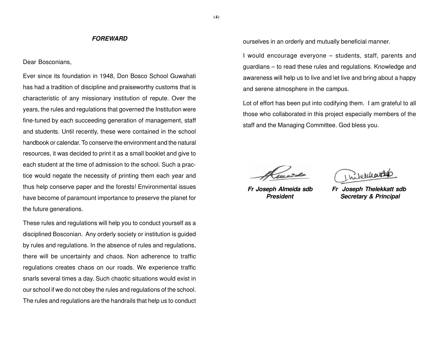#### **FOREWARD**

# Dear Bosconians,

Ever since its foundation in 1948, Don Bosco School Guwahati has had a tradition of discipline and praiseworthy customs that is characteristic of any missionary institution of repute. Over the years, the rules and regulations that governed the Institution were fine-tuned by each succeeding generation of management, staff and students. Until recently, these were contained in the school handbook or calendar. To conserve the environment and the natural resources, it was decided to print it as a small booklet and give to each student at the time of admission to the school. Such a practice would negate the necessity of printing them each year and thus help conserve paper and the forests! Environmental issues have become of paramount importance to preserve the planet for the future generations.

These rules and regulations will help you to conduct yourself as a disciplined Bosconian. Any orderly society or institution is guided by rules and regulations. In the absence of rules and regulations, there will be uncertainty and chaos. Non adherence to traffic regulations creates chaos on our roads. We experience traffic snarls several times a day. Such chaotic situations would exist in our school if we do not obey the rules and regulations of the school. The rules and regulations are the handrails that help us to conduct ourselves in an orderly and mutually beneficial manner.

I would encourage everyone – students, staff, parents and guardians – to read these rules and regulations. Knowledge and awareness will help us to live and let live and bring about a happy and serene atmosphere in the campus.

Lot of effort has been put into codifying them. I am grateful to all those who collaborated in this project especially members of the staff and the Managing Committee. God bless you.

Inteldents

 **Fr Joseph Almeida sdb Fr Joseph Thelekkatt sdb President Secretary & Principal**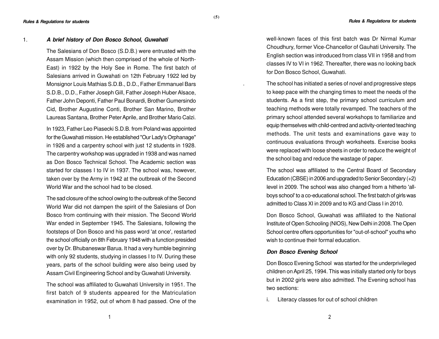#### 1. **A brief history of Don Bosco School, Guwahati**

The Salesians of Don Bosco (S.D.B.) were entrusted with the Assam Mission (which then comprised of the whole of North-East) in 1922 by the Holy See in Rome. The first batch of Salesians arrived in Guwahati on 12th February 1922 led by Monsignor Louis Mathias S.D.B., D.D., Father Emmanuel Bars S.D.B., D.D., Father Joseph Gill, Father Joseph Huber Alsace, Father John Deponti, Father Paul Bonardi, Brother Gumersindo Cid, Brother Augustine Conti, Brother San Marino, Brother Laureas Santana, Brother Peter Aprile, and Brother Mario Calzi.

**(5)**

In 1923, Father Leo Piasecki S.D.B. from Poland was appointed for the Guwahati mission. He established "Our Lady's Orphanage" in 1926 and a carpentry school with just 12 students in 1928. The carpentry workshop was upgraded in 1938 and was named as Don Bosco Technical School. The Academic section was started for classes I to IV in 1937. The school was, however, taken over by the Army in 1942 at the outbreak of the Second World War and the school had to be closed.

The sad closure of the school owing to the outbreak of the Second World War did not dampen the spirit of the Salesians of Don Bosco from continuing with their mission. The Second World War ended in September 1945. The Salesians, following the footsteps of Don Bosco and his pass word 'at once', restarted the school officially on 8th February 1948 with a function presided over by Dr. Bhubaneswar Barua. It had a very humble beginning with only 92 students, studying in classes I to IV. During these years, parts of the school building were also being used by Assam Civil Engineering School and by Guwahati University.

The school was affiliated to Guwahati University in 1951. The first batch of 9 students appeared for the Matriculation examination in 1952, out of whom 8 had passed. One of the

well-known faces of this first batch was Dr Nirmal Kumar Choudhury, former Vice-Chancellor of Gauhati University. The English section was introduced from class VII in 1958 and from classes IV to VI in 1962. Thereafter, there was no looking back for Don Bosco School, Guwahati.

. The school has initiated a series of novel and progressive steps to keep pace with the changing times to meet the needs of the students. As a first step, the primary school curriculum and teaching methods were totally revamped. The teachers of the primary school attended several workshops to familiarize and equip themselves with child-centred and activity-oriented teaching methods. The unit tests and examinations gave way to continuous evaluations through worksheets. Exercise books were replaced with loose sheets in order to reduce the weight of the school bag and reduce the wastage of paper.

The school was affiliated to the Central Board of Secondary Education (CBSE) in 2006 and upgraded to Senior Secondary (+2) level in 2009. The school was also changed from a hitherto 'allboys school' to a co-educational school. The first batch of girls was admitted to Class XI in 2009 and to KG and Class I in 2010.

Don Bosco School, Guwahati was affiliated to the National Institute of Open Schooling (NIOS), New Delhi in 2008. The Open School centre offers opportunities for "out-of-school" youths who wish to continue their formal education.

#### **Don Bosco Evening School**

Don Bosco Evening School was started for the underprivileged children on April 25, 1994. This was initially started only for boys but in 2002 girls were also admitted. The Evening school has two sections:

i. Literacy classes for out of school children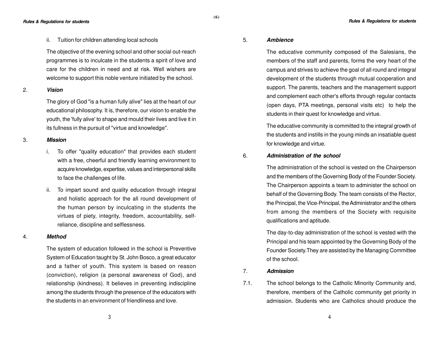**Rules & Regulations for students Rules & Regulations for students**

ii. Tuition for children attending local schools

The objective of the evening school and other social out-reach programmes is to inculcate in the students a spirit of love and care for the children in need and at risk. Well wishers are welcome to support this noble venture initiated by the school.

#### 2. **Vision**

The glory of God "is a human fully alive" lies at the heart of our educational philosophy. It is, therefore, our vision to enable the youth, the 'fully alive' to shape and mould their lives and live it in its fullness in the pursuit of "virtue and knowledge".

#### 3. **Mission**

- i. To offer "quality education" that provides each student with a free, cheerful and friendly learning environment to acquire knowledge, expertise, values and interpersonal skills to face the challenges of life.
- ii. To impart sound and quality education through integral and holistic approach for the all round development of the human person by inculcating in the students the virtues of piety, integrity, freedom, accountability, selfreliance, discipline and selflessness.

#### 4. **Method**

The system of education followed in the school is Preventive System of Education taught by St. John Bosco, a great educator and a father of youth. This system is based on reason (conviction), religion (a personal awareness of God), and relationship (kindness). It believes in preventing indiscipline among the students through the presence of the educators with the students in an environment of friendliness and love.

#### 5. **Ambience**

**(6)**

The educative community composed of the Salesians, the members of the staff and parents, forms the very heart of the campus and strives to achieve the goal of all round and integral development of the students through mutual cooperation and support. The parents, teachers and the management support and complement each other's efforts through regular contacts (open days, PTA meetings, personal visits etc) to help the students in their quest for knowledge and virtue.

The educative community is committed to the integral growth of the students and instills in the young minds an insatiable quest for knowledge and virtue.

# 6. **Administration of the school**

The administration of the school is vested on the Chairperson and the members of the Governing Body of the Founder Society. The Chairperson appoints a team to administer the school on behalf of the Governing Body. The team consists of the Rector, the Principal, the Vice-Principal, the Administrator and the others from among the members of the Society with requisite qualifications and aptitude.

The day-to-day administration of the school is vested with the Principal and his team appointed by the Governing Body of the Founder Society.They are assisted by the Managing Committee of the school.

#### 7. **Admission**

7.1. The school belongs to the Catholic Minority Community and, therefore, members of the Catholic community get priority in admission. Students who are Catholics should produce the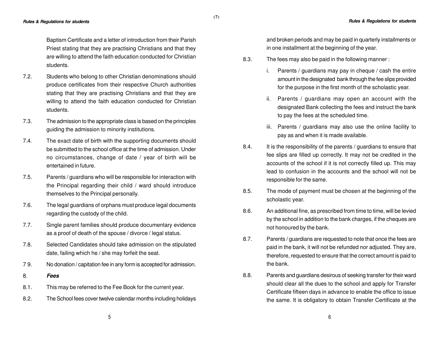Baptism Certificate and a letter of introduction from their Parish Priest stating that they are practising Christians and that they are willing to attend the faith education conducted for Christian students.

**(7)**

- 7.2. Students who belong to other Christian denominations should produce certificates from their respective Church authorities stating that they are practising Christians and that they are willing to attend the faith education conducted for Christian students.
- 7.3. The admission to the appropriate class is based on the principles guiding the admission to minority institutions.
- 7.4. The exact date of birth with the supporting documents should be submitted to the school office at the time of admission. Under no circumstances, change of date / year of birth will be entertained in future.
- 7.5. Parents / guardians who will be responsible for interaction with the Principal regarding their child / ward should introduce themselves to the Principal personally.
- 7.6. The legal guardians of orphans must produce legal documents regarding the custody of the child.
- 7.7. Single parent families should produce documentary evidence as a proof of death of the spouse / divorce / legal status.
- 7.8. Selected Candidates should take admission on the stipulated date, failing which he / she may forfeit the seat.
- 7 9. No donation / capitation fee in any form is accepted for admission.
- 8. **Fees**
- 8.1. This may be referred to the Fee Book for the current year.
- 8.2. The School fees cover twelve calendar months including holidays

and broken periods and may be paid in quarterly installments or in one installment at the beginning of the year.

- 8.3. The fees may also be paid in the following manner :
	- i. Parents / guardians may pay in cheque / cash the entire amount in the designated bank through the fee slips provided for the purpose in the first month of the scholastic year.
	- ii. Parents / guardians may open an account with the designated Bank collecting the fees and instruct the bank to pay the fees at the scheduled time.
	- iii. Parents / guardians may also use the online facility to pay as and when it is made available.
- 8.4. It is the responsibility of the parents / guardians to ensure that fee slips are filled up correctly. It may not be credited in the accounts of the school if it is not correctly filled up. This may lead to confusion in the accounts and the school will not be responsible for the same.
- 8.5. The mode of payment must be chosen at the beginning of the scholastic year.
- 8.6. An additional fine, as prescribed from time to time, will be levied by the school in addition to the bank charges, if the cheques are not honoured by the bank.
- 8.7. Parents / guardians are requested to note that once the fees are paid in the bank, it will not be refunded nor adjusted. They are, therefore, requested to ensure that the correct amount is paid to the bank.
- 8.8. Parents and guardians desirous of seeking transfer for their ward should clear all the dues to the school and apply for Transfer Certificate fifteen days in advance to enable the office to issue the same. It is obligatory to obtain Transfer Certificate at the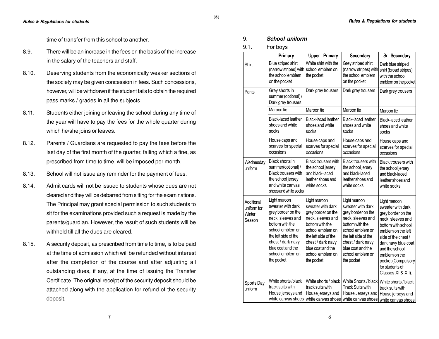time of transfer from this school to another.

- 8.9. There will be an increase in the fees on the basis of the increase in the salary of the teachers and staff.
- 8.10. Deserving students from the economically weaker sections of the society may be given concession in fees. Such concessions, however, will be withdrawn if the student fails to obtain the required pass marks / grades in all the subjects.
- 8.11. Students either joining or leaving the school during any time of the year will have to pay the fees for the whole quarter during which he/she joins or leaves.
- 8.12. Parents / Guardians are requested to pay the fees before the last day of the first month of the quarter, failing which a fine, as prescribed from time to time, will be imposed per month.
- 8.13. School will not issue any reminder for the payment of fees.
- 8.14. Admit cards will not be issued to students whose dues are not cleared and they will be debarred from sitting for the examinations. The Principal may grant special permission to such students to sit for the examinations provided such a request is made by the parents/guardian. However, the result of such students will be withheld till all the dues are cleared.
- 8.15. A security deposit, as prescribed from time to time, is to be paid at the time of admission which will be refunded without interest after the completion of the course and after adjusting all outstanding dues, if any, at the time of issuing the Transfer Certificate. The original receipt of the security deposit should be attached along with the application for refund of the security deposit.

# 9. **School uniform**

# 9.1. For boys

|                                               | Primary                                                                                                                                                                                                                 | <b>Upper Primary</b>                                                                                                                                                                                                    | Secondary                                                                                                                                                                                                               | Sr. Secondary                                                                                                                                                                                                                                                            |
|-----------------------------------------------|-------------------------------------------------------------------------------------------------------------------------------------------------------------------------------------------------------------------------|-------------------------------------------------------------------------------------------------------------------------------------------------------------------------------------------------------------------------|-------------------------------------------------------------------------------------------------------------------------------------------------------------------------------------------------------------------------|--------------------------------------------------------------------------------------------------------------------------------------------------------------------------------------------------------------------------------------------------------------------------|
| Shirt                                         | Blue striped shirt<br>(narrow stripes) with<br>the school emblem<br>on the pocket                                                                                                                                       | White shirt with the<br>school emblem on<br>the pocket                                                                                                                                                                  | Grey striped shirt<br>(narrow stripes) with<br>the school emblem<br>on the pocket                                                                                                                                       | Dark blue striped<br>shirt (broad stripes)<br>with the school<br>emblem on the pocket                                                                                                                                                                                    |
| Pants                                         | Grey shorts in<br>summer (optional) /<br>Dark grey trousers                                                                                                                                                             | Dark grey trousers                                                                                                                                                                                                      | Dark grey trousers                                                                                                                                                                                                      | Dark grey trousers                                                                                                                                                                                                                                                       |
|                                               | Maroon tie                                                                                                                                                                                                              | Maroon tie                                                                                                                                                                                                              | Maroon tie                                                                                                                                                                                                              | Maroon tie                                                                                                                                                                                                                                                               |
|                                               | <b>Black-laced leather</b><br>shoes and white<br>socks                                                                                                                                                                  | Black-laced leather<br>shoes and white<br>socks                                                                                                                                                                         | <b>Black-laced leather</b><br>shoes and white<br>socks                                                                                                                                                                  | <b>Black-laced leather</b><br>shoes and white<br>socks                                                                                                                                                                                                                   |
|                                               | House caps and<br>scarves for special<br>occasions                                                                                                                                                                      | House caps and<br>scarves for special<br>occasions                                                                                                                                                                      | House caps and<br>scarves for special<br>occasions                                                                                                                                                                      | House caps and<br>scarves for special<br>occasions                                                                                                                                                                                                                       |
| Wednesday<br>uniform                          | Black shorts in<br>summer(optional) /<br><b>Black trousers with</b><br>the school jersey<br>and white canvas<br>shoes and white socks                                                                                   | Black trousers with<br>the school jersey<br>and black-laced<br>leather shoes and<br>white socks                                                                                                                         | <b>Black trousers with</b><br>the school jersey<br>and black-laced<br>leather shoes and<br>white socks                                                                                                                  | <b>Black trousers with</b><br>the school jersey<br>and black-laced<br>leather shoes and<br>white socks                                                                                                                                                                   |
| Additional<br>uniform for<br>Winter<br>Season | Light maroon<br>sweater with dark<br>grey border on the<br>neck, sleeves and<br>bottom with the<br>school emblem on<br>the left side of the<br>chest / dark navy<br>blue coat and the<br>school emblem on<br>the pocket | Light maroon<br>sweater with dark<br>grey border on the<br>neck, sleeves and<br>bottom with the<br>school emblem on<br>the left side of the<br>chest / dark navy<br>blue coat and the<br>school emblem on<br>the pocket | Light maroon<br>sweater with dark<br>grey border on the<br>neck, sleeves and<br>bottom with the<br>school emblem on<br>the left side of the<br>chest / dark navy<br>blue coat and the<br>school emblem on<br>the pocket | Light maroon<br>sweater with dark<br>grey border on the<br>neck, sleeves and<br>bottom with school<br>emblem on the left<br>side of the chest /<br>dark navy blue coat<br>and the school<br>emblem on the<br>pocket (Compulsory<br>for students of<br>Classes XI & XII). |
| Sports Day<br>uniform                         | White shorts /black<br>track suits with<br>House jerseys and<br>white canvas shoes                                                                                                                                      | White shorts / black<br>track suits with<br>House jerseys and                                                                                                                                                           | White Shorts / black<br><b>Track Suits with</b><br>House Jerseys and<br>white canvas shoes white canvas shoes                                                                                                           | White shorts / black<br>track suits with<br>House jerseys and<br>white canvas shoes                                                                                                                                                                                      |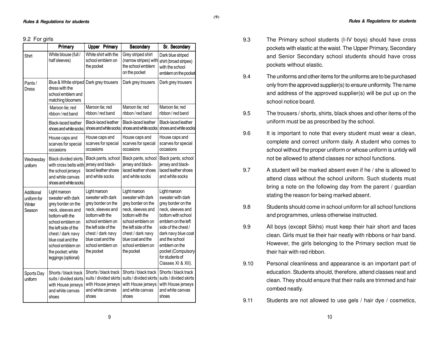#### 9.2 For girls

|                                               | Primary                                                                                                                                                                                                                                               |                                                                                                                                                                                                                         | <b>Upper Primary</b>                                                 | Secondary                                                                                                                                                                                                               | Sr. Secondary                                                                                                                                                                                                                                                            |
|-----------------------------------------------|-------------------------------------------------------------------------------------------------------------------------------------------------------------------------------------------------------------------------------------------------------|-------------------------------------------------------------------------------------------------------------------------------------------------------------------------------------------------------------------------|----------------------------------------------------------------------|-------------------------------------------------------------------------------------------------------------------------------------------------------------------------------------------------------------------------|--------------------------------------------------------------------------------------------------------------------------------------------------------------------------------------------------------------------------------------------------------------------------|
| Shirt                                         | White blouse (full /<br>half sleeves)                                                                                                                                                                                                                 | White shirt with the<br>school emblem on<br>the pocket                                                                                                                                                                  |                                                                      | Grey striped shirt<br>(narrow stripes) with<br>the school emblem<br>on the pocket                                                                                                                                       | Dark blue striped<br>shirt (broad stripes)<br>with the school<br>emblem on the pocket                                                                                                                                                                                    |
| Pants /<br>Dress                              | Blue & White striped Dark grey trousers<br>dress with the<br>school emblem and<br>matching bloomers                                                                                                                                                   |                                                                                                                                                                                                                         |                                                                      | Dark grey trousers                                                                                                                                                                                                      | Dark grey trousers                                                                                                                                                                                                                                                       |
|                                               | Maroon tie; red<br>ribbon / red band                                                                                                                                                                                                                  | Maroon tie; red<br>ribbon / red band                                                                                                                                                                                    |                                                                      | Maroon tie; red<br>ribbon / red band                                                                                                                                                                                    | Maroon tie; red<br>ribbon / red band                                                                                                                                                                                                                                     |
|                                               | <b>Black-laced leather</b><br>shoes and white socks                                                                                                                                                                                                   | Black-laced leather                                                                                                                                                                                                     | shoes and white socks                                                | Black-laced leather<br>shoes and white socks                                                                                                                                                                            | <b>Black-laced leather</b><br>shoes and white socks                                                                                                                                                                                                                      |
|                                               | House caps and<br>scarves for special<br>occasions                                                                                                                                                                                                    | House caps and<br>scarves for special<br>occasions                                                                                                                                                                      |                                                                      | House caps and<br>scarves for special<br>occasions                                                                                                                                                                      | House caps and<br>scarves for special<br>occasions                                                                                                                                                                                                                       |
| Wednesday<br>uniform                          | <b>Black divided skirts</b><br>with cross belts with<br>the school jerseys<br>and white canvas<br>shoes and white socks                                                                                                                               | jersey and black-<br>and white socks                                                                                                                                                                                    | Black pants, school<br>laced leather shoes                           | Black pants, school<br>jersey and black-<br>laced leather shoes<br>and white socks                                                                                                                                      | Black pants, school<br>jersey and black-<br>laced leather shoes<br>and white socks                                                                                                                                                                                       |
| Additional<br>uniform for<br>Winter<br>Season | Light maroon<br>sweater with dark<br>grey border on the<br>neck, sleeves and<br>bottom with the<br>school emblem on<br>the left side of the<br>chest / dark navy<br>blue coat and the<br>school emblem on<br>the pocket; white<br>leggings (optional) | Light maroon<br>sweater with dark<br>grey border on the<br>neck, sleeves and<br>bottom with the<br>school emblem on<br>the left side of the<br>chest / dark navy<br>blue coat and the<br>school emblem on<br>the pocket |                                                                      | Light maroon<br>sweater with dark<br>grey border on the<br>neck, sleeves and<br>bottom with the<br>school emblem on<br>the left side of the<br>chest / dark navy<br>blue coat and the<br>school emblem on<br>the pocket | Light maroon<br>sweater with dark<br>grey border on the<br>neck, sleeves and<br>bottom with school<br>emblem on the left<br>side of the chest /<br>dark navy blue coat<br>and the school<br>emblem on the<br>pocket (Compulsory<br>for students of<br>Classes XI & XII). |
| Sports Day<br>uniform                         | Shorts / black track<br>suits / divided skirts<br>with House jerseys<br>and white canvas<br>shoes                                                                                                                                                     | and white canvas<br>shoes                                                                                                                                                                                               | Shorts / black track<br>suits / divided skirts<br>with House jerseys | Shorts / black track<br>suits / divided skirts<br>with House jerseys<br>and white canvas<br>shoes                                                                                                                       | Shorts / black track<br>suits / divided skirts<br>with House jerseys<br>and white canvas<br>shoes                                                                                                                                                                        |

9.3 The Primary school students (I-IV boys) should have cross pockets with elastic at the waist. The Upper Primary, Secondary and Senior Secondary school students should have cross pockets without elastic.

**(9)**

- 9.4 The uniforms and other items for the uniforms are to be purchased only from the approved supplier(s) to ensure uniformity. The name and address of the approved supplier(s) will be put up on the school notice board.
- 9.5 The trousers / shorts, shirts, black shoes and other items of the uniform must be as prescribed by the school.
- 9.6 It is important to note that every student must wear a clean, complete and correct uniform daily. A student who comes to school without the proper uniform or whose uniform is untidy will not be allowed to attend classes nor school functions.
- 9.7 A student will be marked absent even if he / she is allowed to attend class without the school uniform. Such students must bring a note on the following day from the parent / guardian stating the reason for being marked absent.
- 9.8 Students should come in school uniform for all school functions and programmes, unless otherwise instructed.
- 9.9 All boys (except Sikhs) must keep their hair short and faces clean. Girls must tie their hair neatly with ribbons or hair band. However, the girls belonging to the Primary section must tie their hair with red ribbon.
- 9.10 Personal cleanliness and appearance is an important part of education. Students should, therefore, attend classes neat and clean. They should ensure that their nails are trimmed and hair combed neatly.
- 9.11 Students are not allowed to use gels / hair dye / cosmetics,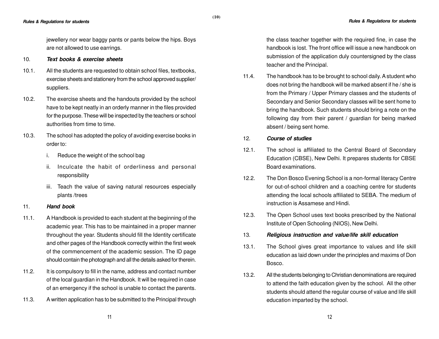jewellery nor wear baggy pants or pants below the hips. Boys are not allowed to use earrings.

# 10. **Text books & exercise sheets**

- 10.1. All the students are requested to obtain school files, textbooks, exercise sheets and stationery from the school approved supplier/ suppliers.
- 10.2. The exercise sheets and the handouts provided by the school have to be kept neatly in an orderly manner in the files provided for the purpose. These will be inspected by the teachers or school authorities from time to time.
- 10.3. The school has adopted the policy of avoiding exercise books in order to:
	- i. Reduce the weight of the school bag
	- ii. Inculcate the habit of orderliness and personal responsibility
	- iii. Teach the value of saving natural resources especially plants /trees

# 11. **Hand book**

- 11.1. A Handbook is provided to each student at the beginning of the academic year. This has to be maintained in a proper manner throughout the year. Students should fill the Identity certificate and other pages of the Handbook correctly within the first week of the commencement of the academic session. The ID page should contain the photograph and all the details asked for therein.
- 11.2. It is compulsory to fill in the name, address and contact number of the local guardian in the Handbook. It will be required in case of an emergency if the school is unable to contact the parents.
- 11.3. A written application has to be submitted to the Principal through

the class teacher together with the required fine, in case the handbook is lost. The front office will issue a new handbook on submission of the application duly countersigned by the class teacher and the Principal.

11.4. The handbook has to be brought to school daily. A student who does not bring the handbook will be marked absent if he / she is from the Primary / Upper Primary classes and the students of Secondary and Senior Secondary classes will be sent home to bring the handbook. Such students should bring a note on the following day from their parent / guardian for being marked absent / being sent home.

# 12. **Course of studies**

- 12.1. The school is affiliated to the Central Board of Secondary Education (CBSE), New Delhi. It prepares students for CBSE Board examinations.
- 12.2. The Don Bosco Evening School is a non-formal literacy Centre for out-of-school children and a coaching centre for students attending the local schools affiliated to SEBA. The medium of instruction is Assamese and Hindi.
- 12.3. The Open School uses text books prescribed by the National Institute of Open Schooling (NIOS), New Delhi.
- 13. **Religious instruction and value/life skill education**
- 13.1. The School gives great importance to values and life skill education as laid down under the principles and maxims of Don Bosco.
- 13.2. All the students belonging to Christian denominations are required to attend the faith education given by the school. All the other students should attend the regular course of value and life skill education imparted by the school.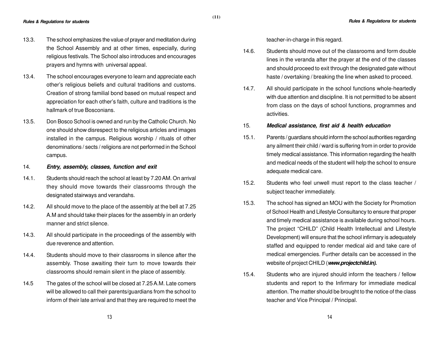- 13.3. The school emphasizes the value of prayer and meditation during the School Assembly and at other times, especially, during religious festivals. The School also introduces and encourages prayers and hymns with universal appeal.
- 13.4. The school encourages everyone to learn and appreciate each other's religious beliefs and cultural traditions and customs. Creation of strong familial bond based on mutual respect and appreciation for each other's faith, culture and traditions is the hallmark of true Bosconians.
- 13.5. Don Bosco School is owned and run by the Catholic Church. No one should show disrespect to the religious articles and images installed in the campus. Religious worship / rituals of other denominations / sects / religions are not performed in the School campus.
- 14. **Entry, assembly, classes, function and exit**
- 14.1. Students should reach the school at least by 7.20 AM. On arrival they should move towards their classrooms through the designated stairways and verandahs.
- 14.2. All should move to the place of the assembly at the bell at 7.25 A.M and should take their places for the assembly in an orderly manner and strict silence.
- 14.3. All should participate in the proceedings of the assembly with due reverence and attention.
- 14.4. Students should move to their classrooms in silence after the assembly. Those awaiting their turn to move towards their classrooms should remain silent in the place of assembly.
- 14.5 The gates of the school will be closed at 7.25 A.M. Late comers will be allowed to call their parents/guardians from the school to inform of their late arrival and that they are required to meet the

teacher-in-charge in this regard.

- 14.6. Students should move out of the classrooms and form double lines in the veranda after the prayer at the end of the classes and should proceed to exit through the designated gate without haste / overtaking / breaking the line when asked to proceed.
- 14.7. All should participate in the school functions whole-heartedly with due attention and discipline. It is not permitted to be absent from class on the days of school functions, programmes and activities.

#### 15. **Medical assistance, first aid & health education**

- 15.1. Parents / guardians should inform the school authorities regarding any ailment their child / ward is suffering from in order to provide timely medical assistance. This information regarding the health and medical needs of the student will help the school to ensure adequate medical care.
- 15.2. Students who feel unwell must report to the class teacher / subject teacher immediately.
- 15.3. The school has signed an MOU with the Society for Promotion of School Health and Lifestyle Consultancy to ensure that proper and timely medical assistance is available during school hours. The project "CHILD" (Child Health Intellectual and Lifestyle Development) will ensure that the school infirmary is adequately staffed and equipped to render medical aid and take care of medical emergencies. Further details can be accessed in the website of project CHILD (**www.projectchild.in).**
- 15.4. Students who are injured should inform the teachers / fellow students and report to the Infirmary for immediate medical attention. The matter should be brought to the notice of the class teacher and Vice Principal / Principal.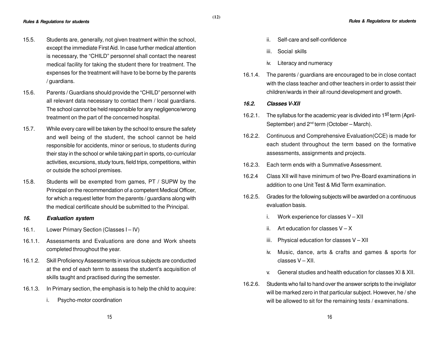- 15.5. Students are, generally, not given treatment within the school, except the immediate First Aid. In case further medical attention is necessary, the "CHILD" personnel shall contact the nearest medical facility for taking the student there for treatment. The expenses for the treatment will have to be borne by the parents / guardians.
- 15.6. Parents / Guardians should provide the "CHILD" personnel with all relevant data necessary to contact them / local guardians. The school cannot be held responsible for any negligence/wrong treatment on the part of the concerned hospital.
- 15.7. While every care will be taken by the school to ensure the safety and well being of the student, the school cannot be held responsible for accidents, minor or serious, to students during their stay in the school or while taking part in sports, co-curricular activities, excursions, study tours, field trips, competitions, within or outside the school premises.
- 15.8. Students will be exempted from games, PT / SUPW by the Principal on the recommendation of a competent Medical Officer, for which a request letter from the parents / guardians along with the medical certificate should be submitted to the Principal.

# **16. Evaluation system**

- 16.1. Lower Primary Section (Classes I IV)
- 16.1.1. Assessments and Evaluations are done and Work sheets completed throughout the year.
- 16.1.2. Skill Proficiency Assessments in various subjects are conducted at the end of each term to assess the student's acquisition of skills taught and practised during the semester.
- 16.1.3. In Primary section, the emphasis is to help the child to acquire:
	- i. Psycho-motor coordination
- ii. Self-care and self-confidence
- iii. Social skills
- iv. Literacy and numeracy
- 16.1.4. The parents / guardians are encouraged to be in close contact with the class teacher and other teachers in order to assist their children/wards in their all round development and growth.
- **16.2. Classes V-XII**
- 16.2.1. The syllabus for the academic year is divided into 1<sup>st</sup> term (April-September) and 2<sup>nd</sup> term (October – March).
- 16.2.2. Continuous and Comprehensive Evaluation(CCE) is made for each student throughout the term based on the formative assessments, assignments and projects.
- 16.2.3. Each term ends with a Summative Assessment.
- 16.2.4 Class XII will have minimum of two Pre-Board examinations in addition to one Unit Test & Mid Term examination.
- 16.2.5. Grades for the following subjects will be awarded on a continuous evaluation basis.
	- i. Work experience for classes V XII
	- ii. Art education for classes  $V X$
	- iii. Physical education for classes  $V XII$
	- iv. Music, dance, arts & crafts and games & sports for classes V – XII.
	- v. General studies and health education for classes XI & XII.
- 16.2.6. Students who fail to hand over the answer scripts to the invigilator will be marked zero in that particular subject. However, he / she will be allowed to sit for the remaining tests / examinations.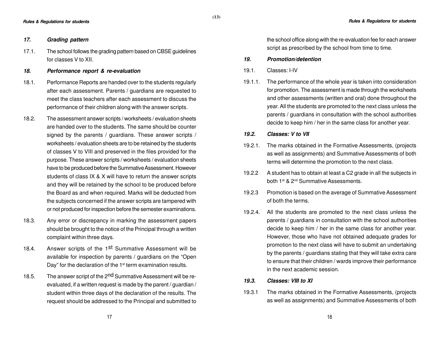# **17. Grading pattern**

- 17.1. The school follows the grading pattern based on CBSE guidelines for classes V to XII.
- **18. Performance report & re-evaluation**
- 18.1. Performance Reports are handed over to the students regularly after each assessment. Parents / guardians are requested to meet the class teachers after each assessment to discuss the performance of their children along with the answer scripts.
- 18.2. The assessment answer scripts / worksheets / evaluation sheets are handed over to the students. The same should be counter signed by the parents / guardians. These answer scripts / worksheets / evaluation sheets are to be retained by the students of classes V to VIII and preserved in the files provided for the purpose. These answer scripts / worksheets / evaluation sheets have to be produced before the Summative Assessment. However students of class IX & X will have to return the answer scripts and they will be retained by the school to be produced before the Board as and when required. Marks will be deducted from the subjects concerned if the answer scripts are tampered with or not produced for inspection before the semester examinations.
- 18.3. Any error or discrepancy in marking the assessment papers should be brought to the notice of the Principal through a written complaint within three days.
- 18.4. Answer scripts of the 1<sup>st</sup> Summative Assessment will be available for inspection by parents / guardians on the "Open Day" for the declaration of the 1<sup>st</sup> term examination results.
- 18.5. The answer script of the 2<sup>nd</sup> Summative Assessment will be reevaluated, if a written request is made by the parent / guardian / student within three days of the declaration of the results. The request should be addressed to the Principal and submitted to

the school office along with the re-evaluation fee for each answer script as prescribed by the school from time to time.

# **19. Promotion/detention**

19.1. Classes: I-IV

**(13)**

19.1.1. The performance of the whole year is taken into consideration for promotion. The assessment is made through the worksheets and other assessments (written and oral) done throughout the year. All the students are promoted to the next class unless the parents / guardians in consultation with the school authorities decide to keep him / her in the same class for another year.

# **19.2. Classes: V to VII**

- 19.2.1. The marks obtained in the Formative Assessments, (projects as well as assignments) and Summative Assessments of both terms will determine the promotion to the next class.
- 19.2.2 A student has to obtain at least a C2 grade in all the subjects in both 1<sup>st</sup> & 2<sup>nd</sup> Summative Assessments.
- 19.2.3 Promotion is based on the average of Summative Assessment of both the terms.
- 19.2.4. All the students are promoted to the next class unless the parents / guardians in consultation with the school authorities decide to keep him / her in the same class for another year. However, those who have not obtained adequate grades for promotion to the next class will have to submit an undertaking by the parents / guardians stating that they will take extra care to ensure that their children / wards improve their performance in the next academic session.
- **19.3. Classes: VIII to XI**
- 19.3.1 The marks obtained in the Formative Assessments, (projects as well as assignments) and Summative Assessments of both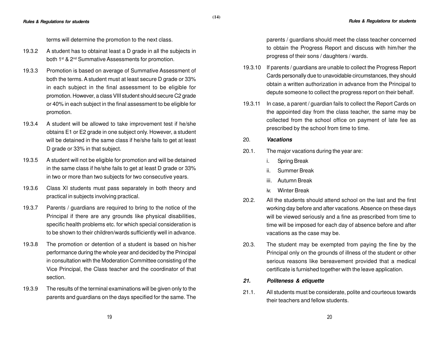terms will determine the promotion to the next class.

- 19.3.2 A student has to obtainat least a D grade in all the subjects in both 1<sup>st</sup> & 2<sup>nd</sup> Summative Assessments for promotion.
- 19.3.3 Promotion is based on average of Summative Assessment of both the terms. A student must at least secure D grade or 33% in each subject in the final assessment to be eligible for promotion. However, a class VIII student should secure C2 grade or 40% in each subject in the final assessment to be eligible for promotion.
- 19.3.4 A student will be allowed to take improvement test if he/she obtains E1 or E2 grade in one subject only. However, a student will be detained in the same class if he/she fails to get at least D grade or 33% in that subject.
- 19.3.5 A student will not be eligible for promotion and will be detained in the same class if he/she fails to get at least D grade or 33% in two or more than two subjects for two consecutive years.
- 19.3.6 Class XI students must pass separately in both theory and practical in subjects involving practical.
- 19.3.7 Parents / guardians are required to bring to the notice of the Principal if there are any grounds like physical disabilities, specific health problems etc. for which special consideration is to be shown to their children/wards sufficiently well in advance.
- 19.3.8 The promotion or detention of a student is based on his/her performance during the whole year and decided by the Principal in consultation with the Moderation Committee consisting of the Vice Principal, the Class teacher and the coordinator of that section.
- 19.3.9 The results of the terminal examinations will be given only to the parents and guardians on the days specified for the same. The

parents / guardians should meet the class teacher concerned to obtain the Progress Report and discuss with him/her the progress of their sons / daughters / wards.

- 19.3.10 If parents / guardians are unable to collect the Progress Report Cards personally due to unavoidable circumstances, they should obtain a written authorization in advance from the Principal to depute someone to collect the progress report on their behalf.
- 19.3.11 In case, a parent / guardian fails to collect the Report Cards on the appointed day from the class teacher, the same may be collected from the school office on payment of late fee as prescribed by the school from time to time.

# 20. **Vacations**

- 20.1. The major vacations during the year are:
	- i. Spring Break
	- ii. Summer Break
	- iii. Autumn Break
	- iv. Winter Break
- 20.2. All the students should attend school on the last and the first working day before and after vacations. Absence on these days will be viewed seriously and a fine as prescribed from time to time will be imposed for each day of absence before and after vacations as the case may be.
- 20.3. The student may be exempted from paying the fine by the Principal only on the grounds of illness of the student or other serious reasons like bereavement provided that a medical certificate is furnished together with the leave application.
- **21. Politeness & etiquette**
- 21.1. All students must be considerate, polite and courteous towards their teachers and fellow students.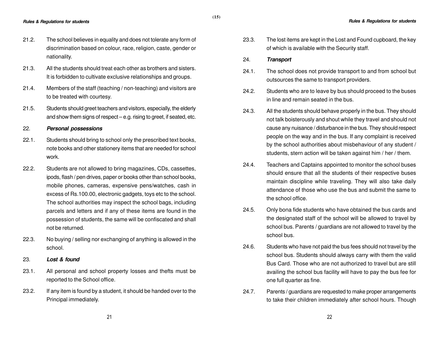- 21.2. The school believes in equality and does not tolerate any form of discrimination based on colour, race, religion, caste, gender or nationality.
- 21.3. All the students should treat each other as brothers and sisters. It is forbidden to cultivate exclusive relationships and groups.
- 21.4. Members of the staff (teaching / non-teaching) and visitors are to be treated with courtesy.
- 21.5. Students should greet teachers and visitors, especially, the elderly and show them signs of respect – e.g. rising to greet, if seated, etc.

# 22. **Personal possessions**

- 22.1. Students should bring to school only the prescribed text books, note books and other stationery items that are needed for school work.
- 22.2. Students are not allowed to bring magazines, CDs, cassettes, ipods, flash / pen drives, paper or books other than school books, mobile phones, cameras, expensive pens/watches, cash in excess of Rs.100.00, electronic gadgets, toys etc to the school. The school authorities may inspect the school bags, including parcels and letters and if any of these items are found in the possession of students, the same will be confiscated and shall not be returned.
- 22.3. No buying / selling nor exchanging of anything is allowed in the school.

# 23. **Lost & found**

- 23.1. All personal and school property losses and thefts must be reported to the School office.
- 23.2. If any item is found by a student, it should be handed over to the Principal immediately.

23.3. The lost items are kept in the Lost and Found cupboard, the key of which is available with the Security staff.

#### 24. **Transport**

- 24.1. The school does not provide transport to and from school but outsources the same to transport providers.
- 24.2. Students who are to leave by bus should proceed to the buses in line and remain seated in the bus.
- 24.3. All the students should behave properly in the bus. They should not talk boisterously and shout while they travel and should not cause any nuisance / disturbance in the bus. They should respect people on the way and in the bus. If any complaint is received by the school authorities about misbehaviour of any student / students, stern action will be taken against him / her / them.
- 24.4. Teachers and Captains appointed to monitor the school buses should ensure that all the students of their respective buses maintain discipline while traveling. They will also take daily attendance of those who use the bus and submit the same to the school office.
- 24.5. Only bona fide students who have obtained the bus cards and the designated staff of the school will be allowed to travel by school bus. Parents / guardians are not allowed to travel by the school bus.
- 24.6. Students who have not paid the bus fees should not travel by the school bus. Students should always carry with them the valid Bus Card. Those who are not authorized to travel but are still availing the school bus facility will have to pay the bus fee for one full quarter as fine.
- 24.7. Parents / guardians are requested to make proper arrangements to take their children immediately after school hours. Though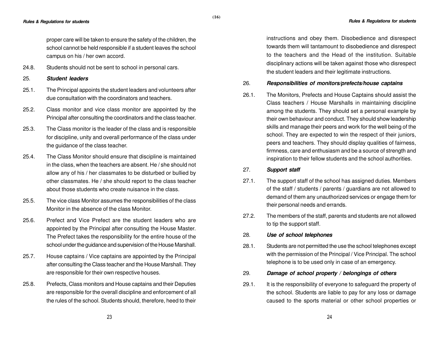proper care will be taken to ensure the safety of the children, the school cannot be held responsible if a student leaves the school campus on his / her own accord.

24.8. Students should not be sent to school in personal cars.

# 25. **Student leaders**

- 25.1. The Principal appoints the student leaders and volunteers after due consultation with the coordinators and teachers.
- 25.2. Class monitor and vice class monitor are appointed by the Principal after consulting the coordinators and the class teacher.
- 25.3. The Class monitor is the leader of the class and is responsible for discipline, unity and overall performance of the class under the guidance of the class teacher.
- 25.4. The Class Monitor should ensure that discipline is maintained in the class, when the teachers are absent. He / she should not allow any of his / her classmates to be disturbed or bullied by other classmates. He / she should report to the class teacher about those students who create nuisance in the class.
- 25.5. The vice class Monitor assumes the responsibilities of the class Monitor in the absence of the class Monitor.
- 25.6. Prefect and Vice Prefect are the student leaders who are appointed by the Principal after consulting the House Master. The Prefect takes the responsibility for the entire house of the school under the guidance and supervision of the House Marshall.
- 25.7. House captains / Vice captains are appointed by the Principal after consulting the Class teacher and the House Marshall. They are responsible for their own respective houses.
- 25.8. Prefects, Class monitors and House captains and their Deputies are responsible for the overall discipline and enforcement of all the rules of the school. Students should, therefore, heed to their

instructions and obey them. Disobedience and disrespect towards them will tantamount to disobedience and disrespect to the teachers and the Head of the institution. Suitable disciplinary actions will be taken against those who disrespect the student leaders and their legitimate instructions.

# 26. **Responsibilities of monitors/prefects/house captains**

26.1. The Monitors, Prefects and House Captains should assist the Class teachers / House Marshalls in maintaining discipline among the students. They should set a personal example by their own behaviour and conduct. They should show leadership skills and manage their peers and work for the well being of the school. They are expected to win the respect of their juniors, peers and teachers. They should display qualities of fairness, firmness, care and enthusiasm and be a source of strength and inspiration to their fellow students and the school authorities.

# 27. **Support staff**

- 27.1. The support staff of the school has assigned duties. Members of the staff / students / parents / guardians are not allowed to demand of them any unauthorized services or engage them for their personal needs and errands.
- 27.2. The members of the staff, parents and students are not allowed to tip the support staff.

#### 28. **Use of school telephones**

- 28.1. Students are not permitted the use the school telephones except with the permission of the Principal / Vice Principal. The school telephone is to be used only in case of an emergency.
- 29. **Damage of school property / belongings of others**
- 29.1. It is the responsibility of everyone to safeguard the property of the school. Students are liable to pay for any loss or damage caused to the sports material or other school properties or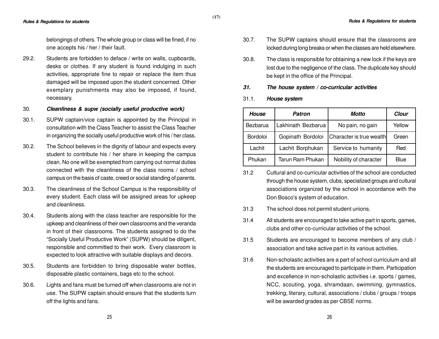belongings of others. The whole group or class will be fined, if no one accepts his / her / their fault.

29.2. Students are forbidden to deface / write on walls, cupboards, desks or clothes. If any student is found indulging in such activities, appropriate fine to repair or replace the item thus damaged will be imposed upon the student concerned. Other exemplary punishments may also be imposed, if found, necessary.

#### 30. **Cleanliness & supw (socially useful productive work)**

- 30.1. SUPW captain/vice captain is appointed by the Principal in consultation with the Class Teacher to assist the Class Teacher in organizing the socially useful productive work of his / her class.
- 30.2. The School believes in the dignity of labour and expects every student to contribute his / her share in keeping the campus clean. No one will be exempted from carrying out normal duties connected with the cleanliness of the class rooms / school campus on the basis of caste, creed or social standing of parents.
- 30.3. The cleanliness of the School Campus is the responsibility of every student. Each class will be assigned areas for upkeep and cleanliness.
- 30.4. Students along with the class teacher are responsible for the upkeep and cleanliness of their own classrooms and the veranda in front of their classrooms. The students assigned to do the "Socially Useful Productive Work" (SUPW) should be diligent, responsible and committed to their work. Every classroom is expected to look attractive with suitable displays and decors.
- 30.5. Students are forbidden to bring disposable water bottles, disposable plastic containers, bags etc to the school.
- 30.6. Lights and fans must be turned off when classrooms are not in use. The SUPW captain should ensure that the students turn off the lights and fans.
- 30.7. The SUPW captains should ensure that the classrooms are locked during long breaks or when the classes are held elsewhere.
- 30.8. The class is responsible for obtaining a new lock if the keys are lost due to the negligence of the class. The duplicate key should be kept in the office of the Principal.
- **31. The house system / co-curricular activities**
- 31.1. **House system**

**(17)**

| <b>House</b>    | <b>Patron</b>      | Motto                    | Clour  |
|-----------------|--------------------|--------------------------|--------|
| Bezbarua        | Lakhinath Bezbarua | No pain, no gain         | Yellow |
| <b>Bordoloi</b> | Gopinath Bordoloi  | Character is true wealth | Green  |
| Lachit          | Lachit Borphukan   | Service to humanity      | Red    |
| Phukan          | Tarun Ram Phukan   | Nobility of character    | Blue   |

- 31.2 Cultural and co-curricular activities of the school are conducted through the house system, clubs, specialized groups and cultural associations organized by the school in accordance with the Don Bosco's system of education.
- 31.3 The school does not permit student unions.
- 31.4 All students are encouraged to take active part in sports, games, clubs and other co-curricular activities of the school.
- 31.5 Students are encouraged to become members of any club / association and take active part in its various activities.
- 31.6 Non-scholastic activities are a part of school curriculum and all the students are encouraged to participate in them. Participation and excellence in non-scholastic activities i.e. sports / games, NCC, scouting, yoga, shramdaan, swimming, gymnastics, trekking, literary, cultural, associations / clubs / groups / troops will be awarded grades as per CBSE norms.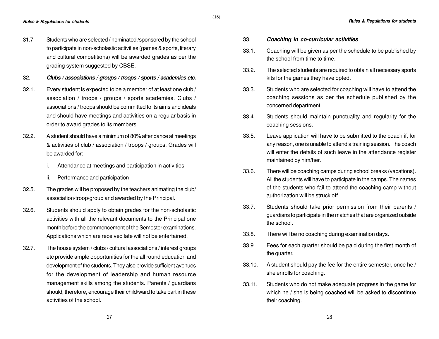- 31.7 Students who are selected / nominated /sponsored by the school to participate in non-scholastic activities (games & sports, literary and cultural competitions) will be awarded grades as per the grading system suggested by CBSE.
- 32. **Clubs / associations / groups / troops / sports / academies etc.**
- 32.1. Every student is expected to be a member of at least one club / association / troops / groups / sports academies. Clubs / associations / troops should be committed to its aims and ideals and should have meetings and activities on a regular basis in order to award grades to its members.
- 32.2. A student should have a minimum of 80% attendance at meetings & activities of club / association / troops / groups. Grades will be awarded for:
	- i. Attendance at meetings and participation in activities
	- ii. Performance and participation
- 32.5. The grades will be proposed by the teachers animating the club/ association/troop/group and awarded by the Principal.
- 32.6. Students should apply to obtain grades for the non-scholastic activities with all the relevant documents to the Principal one month before the commencement of the Semester examinations. Applications which are received late will not be entertained.
- 32.7. The house system / clubs / cultural associations / interest groups etc provide ample opportunities for the all round education and development of the students. They also provide sufficient avenues for the development of leadership and human resource management skills among the students. Parents / guardians should, therefore, encourage their child/ward to take part in these activities of the school.

#### 33. **Coaching in co-curricular activities**

- 33.1. Coaching will be given as per the schedule to be published by the school from time to time.
- 33.2. The selected students are required to obtain all necessary sports kits for the games they have opted.
- 33.3. Students who are selected for coaching will have to attend the coaching sessions as per the schedule published by the concerned department.
- 33.4. Students should maintain punctuality and regularity for the coaching sessions.
- 33.5. Leave application will have to be submitted to the coach if, for any reason, one is unable to attend a training session. The coach will enter the details of such leave in the attendance register maintained by him/her.
- 33.6. There will be coaching camps during school breaks (vacations). All the students will have to participate in the camps. The names of the students who fail to attend the coaching camp without authorization will be struck off.
- 33.7. Students should take prior permission from their parents / guardians to participate in the matches that are organized outside the school.
- 33.8. There will be no coaching during examination days.
- 33.9. Fees for each quarter should be paid during the first month of the quarter.
- 33.10. A student should pay the fee for the entire semester, once he / she enrolls for coaching.
- 33.11. Students who do not make adequate progress in the game for which he / she is being coached will be asked to discontinue their coaching.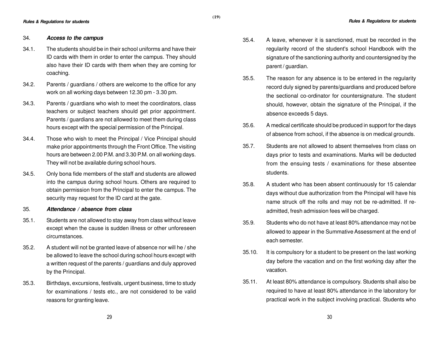#### 34. **Access to the campus**

34.1. The students should be in their school uniforms and have their ID cards with them in order to enter the campus. They should also have their ID cards with them when they are coming for coaching.

**(19)**

- 34.2. Parents / guardians / others are welcome to the office for any work on all working days between 12.30 pm - 3.30 pm.
- 34.3. Parents / guardians who wish to meet the coordinators, class teachers or subject teachers should get prior appointment. Parents / guardians are not allowed to meet them during class hours except with the special permission of the Principal.
- 34.4. Those who wish to meet the Principal / Vice Principal should make prior appointments through the Front Office. The visiting hours are between 2.00 P.M. and 3.30 P.M. on all working days. They will not be available during school hours.
- 34.5. Only bona fide members of the staff and students are allowed into the campus during school hours. Others are required to obtain permission from the Principal to enter the campus. The security may request for the ID card at the gate.
- 35. **Attendance / absence from class**
- 35.1. Students are not allowed to stay away from class without leave except when the cause is sudden illness or other unforeseen circumstances.
- 35.2. A student will not be granted leave of absence nor will he / she be allowed to leave the school during school hours except with a written request of the parents / guardians and duly approved by the Principal.
- 35.3. Birthdays, excursions, festivals, urgent business, time to study for examinations / tests etc., are not considered to be valid reasons for granting leave.
- 35.4. A leave, whenever it is sanctioned, must be recorded in the regularity record of the student's school Handbook with the signature of the sanctioning authority and countersigned by the parent / guardian.
- 35.5. The reason for any absence is to be entered in the regularity record duly signed by parents/guardians and produced before the sectional co-ordinator for countersignature. The student should, however, obtain the signature of the Principal, if the absence exceeds 5 days.
- 35.6. A medical certificate should be produced in support for the days of absence from school, if the absence is on medical grounds.
- 35.7. Students are not allowed to absent themselves from class on days prior to tests and examinations. Marks will be deducted from the ensuing tests / examinations for these absentee students.
- 35.8. A student who has been absent continuously for 15 calendar days without due authorization from the Principal will have his name struck off the rolls and may not be re-admitted. If readmitted, fresh admission fees will be charged.
- 35.9. Students who do not have at least 80% attendance may not be allowed to appear in the Summative Assessment at the end of each semester.
- 35.10. It is compulsory for a student to be present on the last working day before the vacation and on the first working day after the vacation.
- 35.11. At least 80% attendance is compulsory. Students shall also be required to have at least 80% attendance in the laboratory for practical work in the subject involving practical. Students who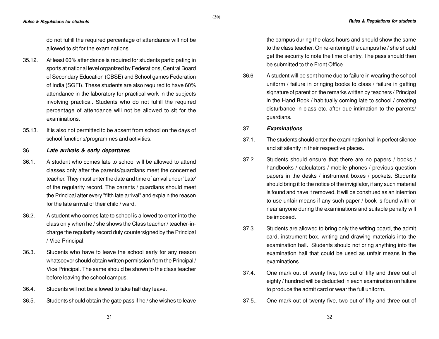do not fulfill the required percentage of attendance will not be allowed to sit for the examinations.

- 35.12. At least 60% attendance is required for students participating in sports at national level organized by Federations, Central Board of Secondary Education (CBSE) and School games Federation of India (SGFI). These students are also required to have 60% attendance in the laboratory for practical work in the subjects involving practical. Students who do not fulfill the required percentage of attendance will not be allowed to sit for the examinations.
- 35.13. It is also not permitted to be absent from school on the days of school functions/programmes and activities.

#### 36. **Late arrivals & early departures**

- 36.1. A student who comes late to school will be allowed to attend classes only after the parents/guardians meet the concerned teacher. They must enter the date and time of arrival under 'Late' of the regularity record. The parents / guardians should meet the Principal after every "fifth late arrival" and explain the reason for the late arrival of their child / ward.
- 36.2. A student who comes late to school is allowed to enter into the class only when he / she shows the Class teacher / teacher-incharge the regularity record duly countersigned by the Principal / Vice Principal.
- 36.3. Students who have to leave the school early for any reason whatsoever should obtain written permission from the Principal / Vice Principal. The same should be shown to the class teacher before leaving the school campus.
- 36.4. Students will not be allowed to take half day leave.
- 36.5. Students should obtain the gate pass if he / she wishes to leave

the campus during the class hours and should show the same to the class teacher. On re-entering the campus he / she should get the security to note the time of entry. The pass should then be submitted to the Front Office.

36.6 A student will be sent home due to failure in wearing the school uniform / failure in bringing books to class / failure in getting signature of parent on the remarks written by teachers / Principal in the Hand Book / habitually coming late to school / creating disturbance in class etc. after due intimation to the parents/ guardians.

#### 37. **Examinations**

**(20)**

- 37.1. The students should enter the examination hall in perfect silence and sit silently in their respective places.
- 37.2. Students should ensure that there are no papers / books / handbooks / calculators / mobile phones / previous question papers in the desks / instrument boxes / pockets. Students should bring it to the notice of the invigilator, if any such material is found and have it removed. It will be construed as an intention to use unfair means if any such paper / book is found with or near anyone during the examinations and suitable penalty will be imposed.
- 37.3. Students are allowed to bring only the writing board, the admit card, instrument box, writing and drawing materials into the examination hall. Students should not bring anything into the examination hall that could be used as unfair means in the examinations.
- 37.4. One mark out of twenty five, two out of fifty and three out of eighty / hundred will be deducted in each examination on failure to produce the admit card or wear the full uniform.
- 37.5.. One mark out of twenty five, two out of fifty and three out of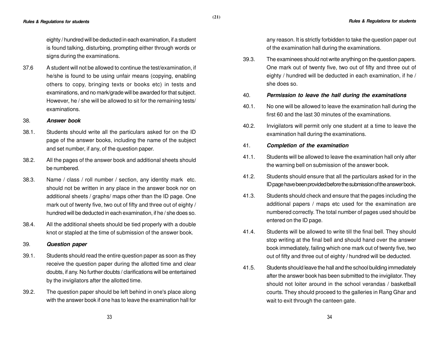eighty / hundred will be deducted in each examination, if a student is found talking, disturbing, prompting either through words or signs during the examinations.

37.6 A student will not be allowed to continue the test/examination, if he/she is found to be using unfair means (copying, enabling others to copy, bringing texts or books etc) in tests and examinations, and no mark/grade will be awarded for that subject. However, he / she will be allowed to sit for the remaining tests/ examinations.

#### 38. **Answer book**

- 38.1. Students should write all the particulars asked for on the ID page of the answer books, including the name of the subject and set number, if any, of the question paper.
- 38.2. All the pages of the answer book and additional sheets should be numbered.
- 38.3. Name / class / roll number / section, any identity mark etc. should not be written in any place in the answer book nor on additional sheets / graphs/ maps other than the ID page. One mark out of twenty five, two out of fifty and three out of eighty / hundred will be deducted in each examination, if he / she does so.
- 38.4. All the additional sheets should be tied properly with a double knot or stapled at the time of submission of the answer book.

#### 39. **Question paper**

- 39.1. Students should read the entire question paper as soon as they receive the question paper during the allotted time and clear doubts, if any. No further doubts / clarifications will be entertained by the invigilators after the allotted time.
- 39.2. The question paper should be left behind in one's place along with the answer book if one has to leave the examination hall for

any reason. It is strictly forbidden to take the question paper out of the examination hall during the examinations.

39.3. The examinees should not write anything on the question papers. One mark out of twenty five, two out of fifty and three out of eighty / hundred will be deducted in each examination, if he / she does so.

#### 40. **Permission to leave the hall during the examinations**

- 40.1. No one will be allowed to leave the examination hall during the first 60 and the last 30 minutes of the examinations.
- 40.2. Invigilators will permit only one student at a time to leave the examination hall during the examinations.

# 41. **Completion of the examination**

- 41.1. Students will be allowed to leave the examination hall only after the warning bell on submission of the answer book.
- 41.2. Students should ensure that all the particulars asked for in the ID page have been provided before the submission of the answer book.
- 41.3. Students should check and ensure that the pages including the additional papers / maps etc used for the examination are numbered correctly. The total number of pages used should be entered on the ID page.
- 41.4. Students will be allowed to write till the final bell. They should stop writing at the final bell and should hand over the answer book immediately, failing which one mark out of twenty five, two out of fifty and three out of eighty / hundred will be deducted.
- 41.5. Students should leave the hall and the school building immediately after the answer book has been submitted to the invigilator. They should not loiter around in the school verandas / basketball courts. They should proceed to the galleries in Rang Ghar and wait to exit through the canteen gate.

**(21)**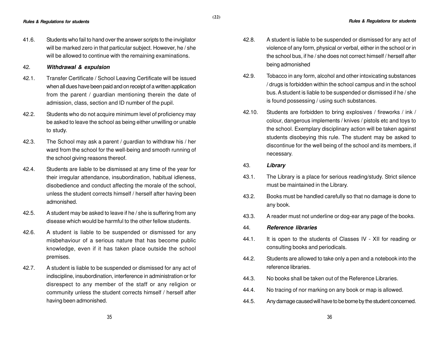41.6. Students who fail to hand over the answer scripts to the invigilator will be marked zero in that particular subject. However, he / she will be allowed to continue with the remaining examinations.

#### 42. **Withdrawal & expulsion**

- 42.1. Transfer Certificate / School Leaving Certificate will be issued when all dues have been paid and on receipt of a written application from the parent / guardian mentioning therein the date of admission, class, section and ID number of the pupil.
- 42.2. Students who do not acquire minimum level of proficiency may be asked to leave the school as being either unwilling or unable to study.
- 42.3. The School may ask a parent / guardian to withdraw his / her ward from the school for the well-being and smooth running of the school giving reasons thereof.
- 42.4. Students are liable to be dismissed at any time of the year for their irregular attendance, insubordination, habitual idleness, disobedience and conduct affecting the morale of the school, unless the student corrects himself / herself after having been admonished.
- 42.5. A student may be asked to leave if he / she is suffering from any disease which would be harmful to the other fellow students.
- 42.6. A student is liable to be suspended or dismissed for any misbehaviour of a serious nature that has become public knowledge, even if it has taken place outside the school premises.
- 42.7. A student is liable to be suspended or dismissed for any act of indiscipline, insubordination, interference in administration or for disrespect to any member of the staff or any religion or community unless the student corrects himself / herself after having been admonished.
- **Rules & Regulations for students Rules & Regulations for students**
	- 42.8. A student is liable to be suspended or dismissed for any act of violence of any form, physical or verbal, either in the school or in the school bus, if he / she does not correct himself / herself after being admonished
	- 42.9. Tobacco in any form, alcohol and other intoxicating substances / drugs is forbidden within the school campus and in the school bus. A student is liable to be suspended or dismissed if he / she is found possessing / using such substances.
	- 42.10. Students are forbidden to bring explosives / fireworks / ink / colour, dangerous implements / knives / pistols etc and toys to the school. Exemplary disciplinary action will be taken against students disobeying this rule. The student may be asked to discontinue for the well being of the school and its members, if necessary.
	- 43. **Library**
	- 43.1. The Library is a place for serious reading/study. Strict silence must be maintained in the Library.
	- 43.2. Books must be handled carefully so that no damage is done to any book.
	- 43.3. A reader must not underline or dog-ear any page of the books.
	- 44. **Reference libraries**
	- 44.1. It is open to the students of Classes IV XII for reading or consulting books and periodicals.
	- 44.2. Students are allowed to take only a pen and a notebook into the reference libraries.
	- 44.3. No books shall be taken out of the Reference Libraries.
	- 44.4. No tracing of nor marking on any book or map is allowed.
	- 44.5. Any damage caused will have to be borne by the student concerned.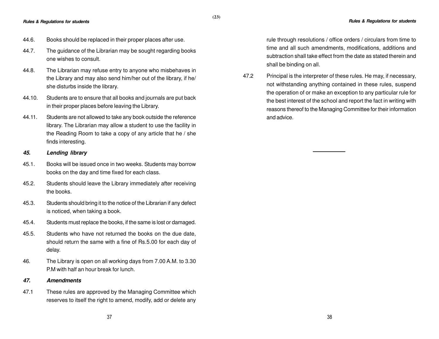- 44.6. Books should be replaced in their proper places after use.
- 44.7. The guidance of the Librarian may be sought regarding books one wishes to consult.

**(23)**

- 44.8. The Librarian may refuse entry to anyone who misbehaves in the Library and may also send him/her out of the library, if he/ she disturbs inside the library.
- 44.10. Students are to ensure that all books and journals are put back in their proper places before leaving the Library.
- 44.11. Students are not allowed to take any book outside the reference library. The Librarian may allow a student to use the facility in the Reading Room to take a copy of any article that he / she finds interesting.

#### **45. Lending library**

- 45.1. Books will be issued once in two weeks. Students may borrow books on the day and time fixed for each class.
- 45.2. Students should leave the Library immediately after receiving the books.
- 45.3. Students should bring it to the notice of the Librarian if any defect is noticed, when taking a book.
- 45.4. Students must replace the books, if the same is lost or damaged.
- 45.5. Students who have not returned the books on the due date, should return the same with a fine of Rs.5.00 for each day of delay.
- 46. The Library is open on all working days from 7.00 A.M. to 3.30 P.M with half an hour break for lunch.

#### **47. Amendments**

47.1 These rules are approved by the Managing Committee which reserves to itself the right to amend, modify, add or delete any rule through resolutions / office orders / circulars from time to time and all such amendments, modifications, additions and subtraction shall take effect from the date as stated therein and shall be binding on all.

47.2 Principal is the interpreter of these rules. He may, if necessary, not withstanding anything contained in these rules, suspend the operation of or make an exception to any particular rule for the best interest of the school and report the fact in writing with reasons thereof to the Managing Committee for their information and advice.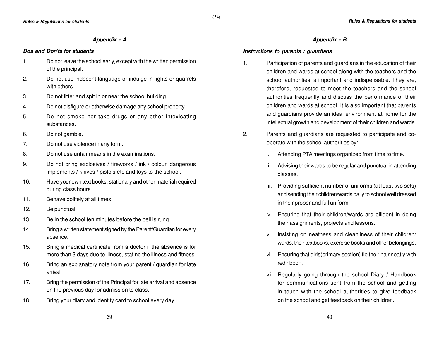#### **Appendix - A**

#### **Dos and Don'ts for students**

- 1. Do not leave the school early, except with the written permission of the principal.
- 2. Do not use indecent language or indulge in fights or quarrels with others.
- 3. Do not litter and spit in or near the school building.
- 4. Do not disfigure or otherwise damage any school property.
- 5. Do not smoke nor take drugs or any other intoxicating substances.
- 6. Do not gamble.
- 7. Do not use violence in any form.
- 8. Do not use unfair means in the examinations.
- 9. Do not bring explosives / fireworks / ink / colour, dangerous implements / knives / pistols etc and toys to the school.
- 10. Have your own text books, stationary and other material required during class hours.
- 11. Behave politely at all times.
- 12. Be punctual.
- 13. Be in the school ten minutes before the bell is rung.
- 14. Bring a written statement signed by the Parent/Guardian for every absence.
- 15. Bring a medical certificate from a doctor if the absence is for more than 3 days due to illness, stating the illness and fitness.
- 16. Bring an explanatory note from your parent / guardian for late arrival.
- 17. Bring the permission of the Principal for late arrival and absence on the previous day for admission to class.
- 18. Bring your diary and identity card to school every day.

#### **Appendix - B**

#### **Instructions to parents / guardians**

- 1. Participation of parents and guardians in the education of their children and wards at school along with the teachers and the school authorities is important and indispensable. They are, therefore, requested to meet the teachers and the school authorities frequently and discuss the performance of their children and wards at school. It is also important that parents and guardians provide an ideal environment at home for the intellectual growth and development of their children and wards.
- 2. Parents and guardians are requested to participate and cooperate with the school authorities by:
	- i. Attending PTA meetings organized from time to time.
	- ii. Advising their wards to be regular and punctual in attending classes.
	- iii. Providing sufficient number of uniforms (at least two sets) and sending their children/wards daily to school well dressed in their proper and full uniform.
	- iv. Ensuring that their children/wards are diligent in doing their assignments, projects and lessons.
	- v. Insisting on neatness and cleanliness of their children/ wards, their textbooks, exercise books and other belongings.
	- vi. Ensuring that girls(primary section) tie their hair neatly with red ribbon.
	- vii. Regularly going through the school Diary / Handbook for communications sent from the school and getting in touch with the school authorities to give feedback on the school and get feedback on their children.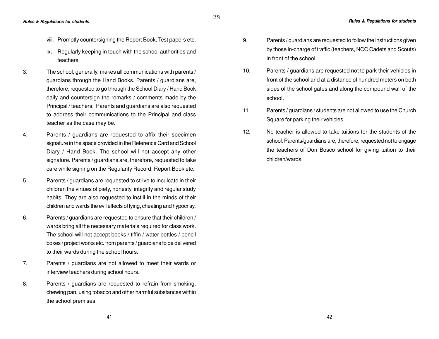- viii. Promptly countersigning the Report Book, Test papers etc.
- ix. Regularly keeping in touch with the school authorities and teachers.
- 3. The school, generally, makes all communications with parents / guardians through the Hand Books. Parents / guardians are, therefore, requested to go through the School Diary / Hand Book daily and countersign the remarks / comments made by the Principal / teachers. Parents and guardians are also requested to address their communications to the Principal and class teacher as the case may be.
- 4. Parents / guardians are requested to affix their specimen signature in the space provided in the Reference Card and School Diary / Hand Book. The school will not accept any other signature. Parents / guardians are, therefore, requested to take care while signing on the Regularity Record, Report Book etc.
- 5. Parents / guardians are requested to strive to inculcate in their children the virtues of piety, honesty, integrity and regular study habits. They are also requested to instill in the minds of their children and wards the evil effects of lying, cheating and hypocrisy.
- 6. Parents / guardians are requested to ensure that their children / wards bring all the necessary materials required for class work. The school will not accept books / tiffin / water bottles / pencil boxes / project works etc. from parents / guardians to be delivered to their wards during the school hours.
- 7. Parents / guardians are not allowed to meet their wards or interview teachers during school hours.
- 8. Parents / guardians are requested to refrain from smoking, chewing pan, using tobacco and other harmful substances within the school premises.
- 9. Parents / guardians are requested to follow the instructions given by those in-charge of traffic (teachers, NCC Cadets and Scouts) in front of the school.
- 10. Parents / guardians are requested not to park their vehicles in front of the school and at a distance of hundred meters on both sides of the school gates and along the compound wall of the school.
- 11. Parents / guardians / students are not allowed to use the Church Square for parking their vehicles.
- 12. No teacher is allowed to take tuitions for the students of the school. Parents/guardians are, therefore, requested not to engage the teachers of Don Bosco school for giving tuition to their children/wards.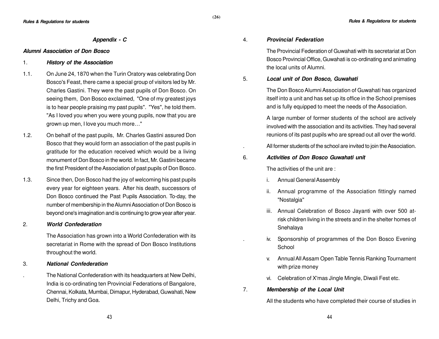#### **Appendix - C**

#### **Alumni Association of Don Bosco**

# 1. **History of the Association**

- 1.1. On June 24, 1870 when the Turin Oratory was celebrating Don Bosco's Feast, there came a special group of visitors led by Mr. Charles Gastini. They were the past pupils of Don Bosco. On seeing them, Don Bosco exclaimed, "One of my greatest joys is to hear people praising my past pupils". "Yes", he told them. "As I loved you when you were young pupils, now that you are grown up men, I love you much more…"
- 1.2. On behalf of the past pupils, Mr. Charles Gastini assured Don Bosco that they would form an association of the past pupils in gratitude for the education received which would be a living monument of Don Bosco in the world. In fact, Mr. Gastini became the first President of the Association of past pupils of Don Bosco.
- 1.3. Since then, Don Bosco had the joy of welcoming his past pupils every year for eighteen years. After his death, successors of Don Bosco continued the Past Pupils Association. To-day, the number of membership in the Alumni Association of Don Bosco is beyond one's imagination and is continuing to grow year after year.

# 2. **World Confederation**

The Association has grown into a World Confederation with its secretariat in Rome with the spread of Don Bosco Institutions throughout the world.

#### 3. **National Confederation**

. The National Confederation with its headquarters at New Delhi, India is co-ordinating ten Provincial Federations of Bangalore, Chennai, Kolkata, Mumbai, Dimapur, Hyderabad, Guwahati, New Delhi, Trichy and Goa.

# 4. **Provincial Federation**

The Provincial Federation of Guwahati with its secretariat at Don Bosco Provincial Office, Guwahati is co-ordinating and animating the local units of Alumni.

5. **Local unit of Don Bosco, Guwahati**

The Don Bosco Alumni Association of Guwahati has organized itself into a unit and has set up its office in the School premises and is fully equipped to meet the needs of the Association.

A large number of former students of the school are actively involved with the association and its activities. They had several reunions of its past pupils who are spread out all over the world.

. All former students of the school are invited to join the Association.

#### 6. **Activities of Don Bosco Guwahati unit**

The activities of the unit are :

- i. Annual General Assembly
- ii. Annual programme of the Association fittingly named "Nostalgia"
- iii. Annual Celebration of Bosco Jayanti with over 500 atrisk children living in the streets and in the shelter homes of Snehalaya
- iv. Sponsorship of programmes of the Don Bosco Evening **School**
- v. Annual All Assam Open Table Tennis Ranking Tournament with prize money
- vi. Celebration of X'mas Jingle Mingle, Diwali Fest etc.
- 7. **Membership of the Local Unit**

All the students who have completed their course of studies in